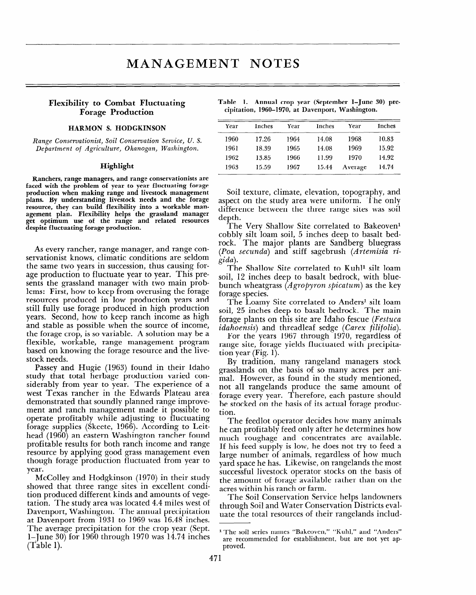## **Flexibility to Combat Fluctuating Forage Production**

## **HARMON S. HODGKINSON**

**Range** *Conservationist, Soil Conservation Seroice, U. S. Department of Agriculture, Okanogan, Washington.* 

## **Highlight**

**Ranchers, range managers, and range conservationists are faced with the problem of year to year fluctuating forage production when making range and livestock management plans. By understanding livestock needs and the forage resource, they can build flexibility into a workable management plan. Flexibility helps the grassland manager get optimum use of the range and related resources despite fluctuating forage production.** 

As every rancher, range manager, and range conservationist knows, climatic conditions are seldom the same two years in succession, thus causing forage production to fluctuate year to year. This presents the grassland manager with two main problems: First, how to keep from overusing the forage resources produced in low production years and still fully use forage produced in high production years. Second, how to keep ranch income as high and stable as possible when the source of income, the forage crop, is so variable. A solution may be a flexible, workable, range management program based on knowing the forage resource and the livestock needs.

Passey and Hugie (1963) found in their Idaho study that total herbage production varied considerably from year to year. The experience of a west Texas rancher in the Edwards Plateau area demonstrated that soundly planned range improvement and ranch management made it possible to operate profitably while adjusting to fluctuating forage supplies (Skeete, 1966). According to Leithead (1960) an eastern Washington rancher found head (1960) an eastern Washington rancher found<br>profitable results for both ranch income and range resource by applying good grass management even though forage production fluctuated from year to year.

McColley and Hodgkinson (1970) in their study showed that there reason sites in excellent condi $t_{\text{t}}$  and the different kinds and amounts of vegetion produced different kinds and amounts of vegetation. The study area was located 4.4 miles west of Davenport, Washington. The annual precipitation at Davenport from 1931 to 1969 was 16.48 inches. The average precipitation for the crop year (Sept. 1–June 30) for 1960 through 1970 was 14.74 inches<br>(Table 1).

|  |  | Table 1. Annual crop year (September 1–June 30) pre- |  |  |
|--|--|------------------------------------------------------|--|--|
|  |  | cipitation, 1960–1970, at Davenport, Washington.     |  |  |

| Year | Inches | Year | Inches | Year    | Inches |
|------|--------|------|--------|---------|--------|
| 1960 | 17.26  | 1964 | 14.08  | 1968    | 10.83  |
| 1961 | 18.39  | 1965 | 14.08  | 1969    | 15.92  |
| 1962 | 13.85  | 1966 | 11.99  | 1970    | 14.92  |
| 1963 | 15.59  | 1967 | 15.44  | Average | 14.74  |

Soil texture, climate, elevation, topography, and aspect on the study area were uniform. The only difference between the three range sites was soil depth.

The Very Shallow Site correlated to Bakeoven<sup>1</sup> cobbly silt loam soil, 5 inches deep to basalt bedrock. The major plants are Sandberg bluegrass *(Poa secunda)* and stiff sagebrush *(Artemisia rigida).* 

The Shallow Site correlated to Kuhl<sup>1</sup> silt loam soil, 12 inches deep to basalt bedrock, with bluebunch wheatgrass *(Agropyron spicatum)* as the key forage species.

The Loamy Site correlated to Anders<sup>1</sup> silt loam soil, 25 inches deep to basalt bedrock. The main forage plants on this site are Idaho fescue *(Festuca idahoensis)* and threadleaf sedge *(Carex filifolia).* 

For the years 1967 through 1970, regardless of range site, forage yields fluctuated with precipitation year (Fig. 1).

By tradition, many rangeland managers stock grasslands on, the basis of so many acres per animal. However, as found in the study mentioned, not all rangelands produce the same amount of forage every year. Therefore, each pasture should be stocked on the basis of its actual forage production.

The feedlot operator decides how many animals he can profit and profit and profit and the determines how he can profitably feed only after he determines how<br>much -roughage -and -concentrates -are--available. If the Hought of the concentrates are available. If this lect supply is low, he does not try to lect a arge humber of annuals, regardless of now much yand space ne has. EIKOWISC, on fanguarius the most successful livestock operator stocks on the basis of the amount of forage available rather than on the<br>acres within his ranch or farm. The Soil Conservation Service helps landowners

the soil conservation service helps famowhere through Soil and Water Conservation Districts evaluate the total resources of their rangelands includ-

<sup>1</sup> **The soil series names "Bakeoven," "Kuhl," and "Anders"**  The soil series names "Bakeoven," "Kuhl," and "Anders" are recommended for establishment, but are not yet approved.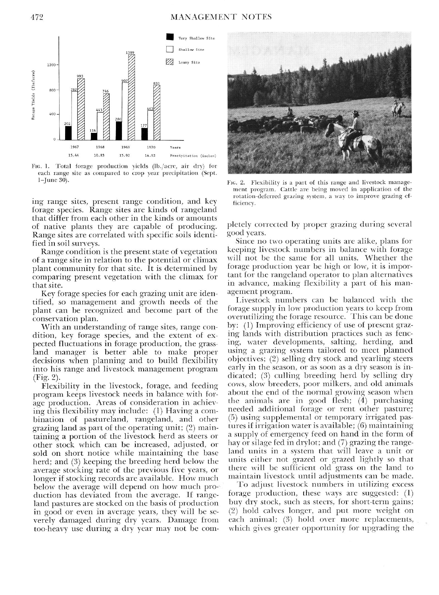

FIG. 1. Total forage production yields (lb./acre, air dry) for each range site as compared to crop year precipitation (Sept.  $1$ -June  $30$ ).

ing range sites, present range condition, and key forage species. Range sites are kinds of rangeland that differ from each other in the kinds or amounts of native plants they are capable of producing. Range sites are correlated with specific soils identified in soil surveys.

Range condition is the present state of vegetation of a range site in relation to the potential or climax plant community for that site. It is determined by comparing present vegetation with the climax for that site.

Key forage species for each grazing unit are identified, so management and growth needs of the plant can be recognized and become part of the conservation plan.

With an understanding of range sites, range condition, key forage species, and the extent of expected fluctuations in forage production, the grassland manager is better able to make proper decisions when planning and to build flexibility into his range and livestock management program (Fig. 2).

Flexibility in the livestock, forage, and feeding program keeps livestock needs in balance with forage production. Areas of consideration in achieving this flexibility may include: (1) Having a combination of pastureland, rangeland, and other grazing land as part of the operating unit; (2) maintaining a portion of the livestock herd as steers or other stock which can be increased, adjusted, or sold on short notice while maintaining the base herd: and (3) keeping the breeding herd below the average stocking rate of the previous five years, or longer if stocking records are available. How much below the average will depend on how much production has deviated from the average. If rangeland pastures are stocked on the basis of production in good or even in average years, they will be severely damaged during dry years. Damage from too-heavy use during a dry year may not be com-



FIG. 2. Flexibility is a part of this range and livestock management program. Cattle are being moved in application of the rotation-deferred grazing system, a way to improve grazing efficiency.

pletely corrected by proper grazing during several good years.

Since no two operating units are alike, plans for keeping livestock numbers in balance with forage will not be the same for all units. Whether the forage production year be high or low, it is important for the rangeland operator to plan alternatives in advance, making flexibility a part of his management program.

Livestock numbers can be balanced with the forage supply in low production years to keep from overutilizing the forage resource. This can be done by: (1) Improving efficiency of use of present grazing lands with distribution practices such as fencing, water developments, salting, herding, and using a grazing system tailored to meet planned objectives; (2) selling dry stock and yearling steers early in the season, or as soon as a dry season is indicated; (3) culling breeding herd by selling dry cows, slow breeders, poor milkers, and old ammals about the end of the normal growing season when the animals are in good flesh: (4) purchasing needed additional forage or rent other pasture; (5) using supplemental or temporary irrigated pastures if irrigation water is available; (6) maintaining a supply of emergency feed on hand in the form of hay or silage fed in drylot; and (7) grazing the rangeland units in a system that will leave a unit or units either not grazed or grazed lightly so that there will be sufficient old grass on the land to maintain livestock until adjustments can be made.

To adjust livestock numbers in utilizing excess forage production, these ways are suggested: (1) buy dry stock, such as steers, for short-term gains; (2) hold calves longer, and put more weight on each animal; (3) hold over more replacements, which gives greater opportunity for upgrading the